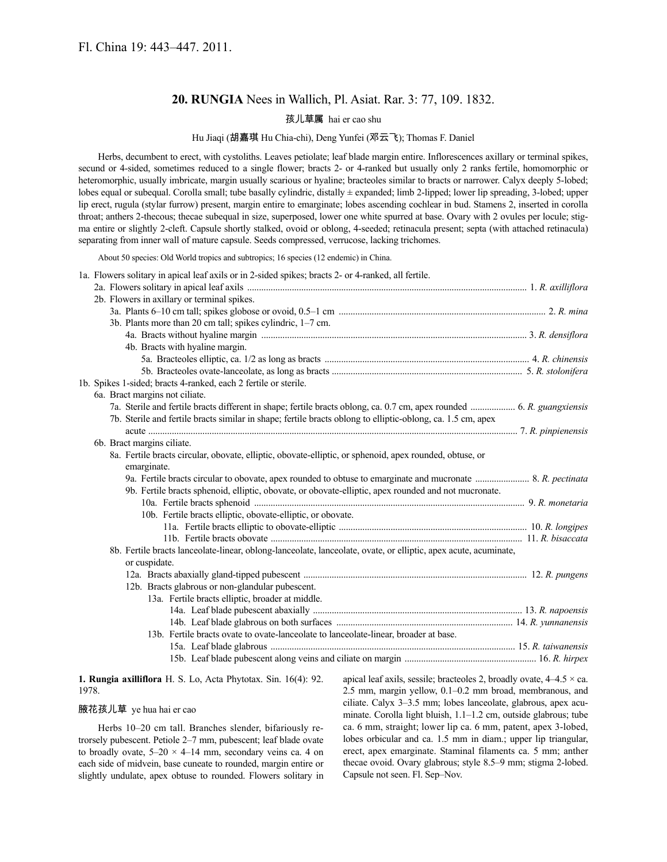# **20. RUNGIA** Nees in Wallich, Pl. Asiat. Rar. 3: 77, 109. 1832.

## 孩儿草属 hai er cao shu

## Hu Jiaqi (胡嘉琪 Hu Chia-chi), Deng Yunfei (邓云飞); Thomas F. Daniel

Herbs, decumbent to erect, with cystoliths. Leaves petiolate; leaf blade margin entire. Inflorescences axillary or terminal spikes, secund or 4-sided, sometimes reduced to a single flower; bracts 2- or 4-ranked but usually only 2 ranks fertile, homomorphic or heteromorphic, usually imbricate, margin usually scarious or hyaline; bracteoles similar to bracts or narrower. Calyx deeply 5-lobed; lobes equal or subequal. Corolla small; tube basally cylindric, distally  $\pm$  expanded; limb 2-lipped; lower lip spreading, 3-lobed; upper lip erect, rugula (stylar furrow) present, margin entire to emarginate; lobes ascending cochlear in bud. Stamens 2, inserted in corolla throat; anthers 2-thecous; thecae subequal in size, superposed, lower one white spurred at base. Ovary with 2 ovules per locule; stigma entire or slightly 2-cleft. Capsule shortly stalked, ovoid or oblong, 4-seeded; retinacula present; septa (with attached retinacula) separating from inner wall of mature capsule. Seeds compressed, verrucose, lacking trichomes.

About 50 species: Old World tropics and subtropics; 16 species (12 endemic) in China.

1a. Flowers solitary in apical leaf axils or in 2-sided spikes; bracts 2- or 4-ranked, all fertile.

|  | 2b. Flowers in axillary or terminal spikes.                                                                            |  |
|--|------------------------------------------------------------------------------------------------------------------------|--|
|  |                                                                                                                        |  |
|  | 3b. Plants more than 20 cm tall; spikes cylindric, 1–7 cm.                                                             |  |
|  |                                                                                                                        |  |
|  | 4b. Bracts with hyaline margin.                                                                                        |  |
|  |                                                                                                                        |  |
|  |                                                                                                                        |  |
|  | 1b. Spikes 1-sided; bracts 4-ranked, each 2 fertile or sterile.                                                        |  |
|  | 6a. Bract margins not ciliate.                                                                                         |  |
|  | 7a. Sterile and fertile bracts different in shape; fertile bracts oblong, ca. 0.7 cm, apex rounded  6. R. guangxiensis |  |
|  | 7b. Sterile and fertile bracts similar in shape; fertile bracts oblong to elliptic-oblong, ca. 1.5 cm, apex            |  |
|  |                                                                                                                        |  |
|  | 6b. Bract margins ciliate.                                                                                             |  |
|  | 8a. Fertile bracts circular, obovate, elliptic, obovate-elliptic, or sphenoid, apex rounded, obtuse, or                |  |
|  | emarginate.                                                                                                            |  |
|  | 9a. Fertile bracts circular to obovate, apex rounded to obtuse to emarginate and mucronate  8. R. pectinata            |  |
|  | 9b. Fertile bracts sphenoid, elliptic, obovate, or obovate-elliptic, apex rounded and not mucronate.                   |  |
|  |                                                                                                                        |  |
|  | 10b. Fertile bracts elliptic, obovate-elliptic, or obovate.                                                            |  |
|  |                                                                                                                        |  |
|  |                                                                                                                        |  |
|  | 8b. Fertile bracts lanceolate-linear, oblong-lanceolate, lanceolate, ovate, or elliptic, apex acute, acuminate,        |  |
|  | or cuspidate.                                                                                                          |  |
|  |                                                                                                                        |  |
|  | 12b. Bracts glabrous or non-glandular pubescent.                                                                       |  |
|  | 13a. Fertile bracts elliptic, broader at middle.                                                                       |  |
|  |                                                                                                                        |  |
|  |                                                                                                                        |  |
|  | 13b. Fertile bracts ovate to ovate-lanceolate to lanceolate-linear, broader at base.                                   |  |
|  |                                                                                                                        |  |
|  |                                                                                                                        |  |

**1. Rungia axilliflora** H. S. Lo, Acta Phytotax. Sin. 16(4): 92. 1978.

## 腋花孩儿草 ye hua hai er cao

Herbs 10–20 cm tall. Branches slender, bifariously retrorsely pubescent. Petiole 2–7 mm, pubescent; leaf blade ovate to broadly ovate,  $5-20 \times 4-14$  mm, secondary veins ca. 4 on each side of midvein, base cuneate to rounded, margin entire or slightly undulate, apex obtuse to rounded. Flowers solitary in apical leaf axils, sessile; bracteoles 2, broadly ovate,  $4-4.5 \times$  ca. 2.5 mm, margin yellow, 0.1–0.2 mm broad, membranous, and ciliate. Calyx 3–3.5 mm; lobes lanceolate, glabrous, apex acuminate. Corolla light bluish, 1.1–1.2 cm, outside glabrous; tube ca. 6 mm, straight; lower lip ca. 6 mm, patent, apex 3-lobed, lobes orbicular and ca. 1.5 mm in diam.; upper lip triangular, erect, apex emarginate. Staminal filaments ca. 5 mm; anther thecae ovoid. Ovary glabrous; style 8.5–9 mm; stigma 2-lobed. Capsule not seen. Fl. Sep–Nov.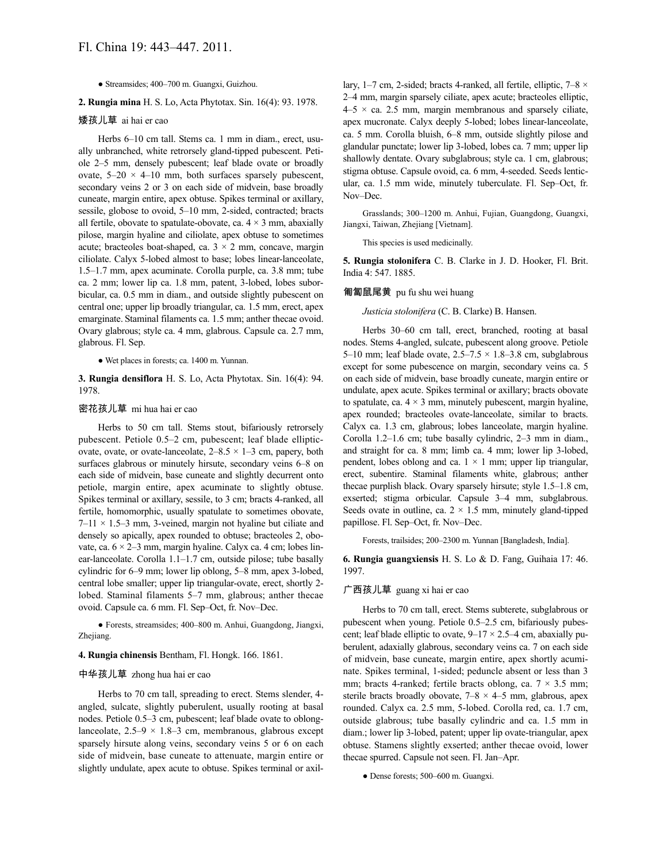● Streamsides; 400–700 m. Guangxi, Guizhou.

**2. Rungia mina** H. S. Lo, Acta Phytotax. Sin. 16(4): 93. 1978.

## 矮孩儿草 ai hai er cao

Herbs 6–10 cm tall. Stems ca. 1 mm in diam., erect, usually unbranched, white retrorsely gland-tipped pubescent. Petiole 2–5 mm, densely pubescent; leaf blade ovate or broadly ovate,  $5-20 \times 4-10$  mm, both surfaces sparsely pubescent, secondary veins 2 or 3 on each side of midvein, base broadly cuneate, margin entire, apex obtuse. Spikes terminal or axillary, sessile, globose to ovoid, 5–10 mm, 2-sided, contracted; bracts all fertile, obovate to spatulate-obovate, ca.  $4 \times 3$  mm, abaxially pilose, margin hyaline and ciliolate, apex obtuse to sometimes acute; bracteoles boat-shaped, ca.  $3 \times 2$  mm, concave, margin ciliolate. Calyx 5-lobed almost to base; lobes linear-lanceolate, 1.5–1.7 mm, apex acuminate. Corolla purple, ca. 3.8 mm; tube ca. 2 mm; lower lip ca. 1.8 mm, patent, 3-lobed, lobes suborbicular, ca. 0.5 mm in diam., and outside slightly pubescent on central one; upper lip broadly triangular, ca. 1.5 mm, erect, apex emarginate. Staminal filaments ca. 1.5 mm; anther thecae ovoid. Ovary glabrous; style ca. 4 mm, glabrous. Capsule ca. 2.7 mm, glabrous. Fl. Sep.

● Wet places in forests; ca. 1400 m. Yunnan.

**3. Rungia densiflora** H. S. Lo, Acta Phytotax. Sin. 16(4): 94. 1978.

## 密花孩儿草 mi hua hai er cao

Herbs to 50 cm tall. Stems stout, bifariously retrorsely pubescent. Petiole 0.5–2 cm, pubescent; leaf blade ellipticovate, ovate, or ovate-lanceolate,  $2-8.5 \times 1-3$  cm, papery, both surfaces glabrous or minutely hirsute, secondary veins 6–8 on each side of midvein, base cuneate and slightly decurrent onto petiole, margin entire, apex acuminate to slightly obtuse. Spikes terminal or axillary, sessile, to 3 cm; bracts 4-ranked, all fertile, homomorphic, usually spatulate to sometimes obovate,  $7-11 \times 1.5-3$  mm, 3-veined, margin not hyaline but ciliate and densely so apically, apex rounded to obtuse; bracteoles 2, obovate, ca.  $6 \times 2 - 3$  mm, margin hyaline. Calyx ca. 4 cm; lobes linear-lanceolate. Corolla 1.1–1.7 cm, outside pilose; tube basally cylindric for 6–9 mm; lower lip oblong, 5–8 mm, apex 3-lobed, central lobe smaller; upper lip triangular-ovate, erect, shortly 2 lobed. Staminal filaments 5–7 mm, glabrous; anther thecae ovoid. Capsule ca. 6 mm. Fl. Sep–Oct, fr. Nov–Dec.

● Forests, streamsides; 400–800 m. Anhui, Guangdong, Jiangxi, Zhejiang.

#### **4. Rungia chinensis** Bentham, Fl. Hongk. 166. 1861.

## 中华孩儿草 zhong hua hai er cao

Herbs to 70 cm tall, spreading to erect. Stems slender, 4 angled, sulcate, slightly puberulent, usually rooting at basal nodes. Petiole 0.5–3 cm, pubescent; leaf blade ovate to oblonglanceolate,  $2.5-9 \times 1.8-3$  cm, membranous, glabrous except sparsely hirsute along veins, secondary veins 5 or 6 on each side of midvein, base cuneate to attenuate, margin entire or slightly undulate, apex acute to obtuse. Spikes terminal or axillary, 1–7 cm, 2-sided; bracts 4-ranked, all fertile, elliptic,  $7-8 \times$ 2–4 mm, margin sparsely ciliate, apex acute; bracteoles elliptic,  $4-5 \times$  ca. 2.5 mm, margin membranous and sparsely ciliate, apex mucronate. Calyx deeply 5-lobed; lobes linear-lanceolate, ca. 5 mm. Corolla bluish, 6–8 mm, outside slightly pilose and glandular punctate; lower lip 3-lobed, lobes ca. 7 mm; upper lip shallowly dentate. Ovary subglabrous; style ca. 1 cm, glabrous; stigma obtuse. Capsule ovoid, ca. 6 mm, 4-seeded. Seeds lenticular, ca. 1.5 mm wide, minutely tuberculate. Fl. Sep–Oct, fr. Nov–Dec.

Grasslands; 300–1200 m. Anhui, Fujian, Guangdong, Guangxi, Jiangxi, Taiwan, Zhejiang [Vietnam].

This species is used medicinally.

**5. Rungia stolonifera** C. B. Clarke in J. D. Hooker, Fl. Brit. India 4: 547. 1885.

#### 匍匐鼠尾黄 pu fu shu wei huang

*Justicia stolonifera* (C. B. Clarke) B. Hansen.

Herbs 30–60 cm tall, erect, branched, rooting at basal nodes. Stems 4-angled, sulcate, pubescent along groove. Petiole 5–10 mm; leaf blade ovate,  $2.5-7.5 \times 1.8-3.8$  cm, subglabrous except for some pubescence on margin, secondary veins ca. 5 on each side of midvein, base broadly cuneate, margin entire or undulate, apex acute. Spikes terminal or axillary; bracts obovate to spatulate, ca.  $4 \times 3$  mm, minutely pubescent, margin hyaline, apex rounded; bracteoles ovate-lanceolate, similar to bracts. Calyx ca. 1.3 cm, glabrous; lobes lanceolate, margin hyaline. Corolla 1.2–1.6 cm; tube basally cylindric, 2–3 mm in diam., and straight for ca. 8 mm; limb ca. 4 mm; lower lip 3-lobed, pendent, lobes oblong and ca.  $1 \times 1$  mm; upper lip triangular, erect, subentire. Staminal filaments white, glabrous; anther thecae purplish black. Ovary sparsely hirsute; style 1.5–1.8 cm, exserted; stigma orbicular. Capsule 3–4 mm, subglabrous. Seeds ovate in outline, ca.  $2 \times 1.5$  mm, minutely gland-tipped papillose. Fl. Sep–Oct, fr. Nov–Dec.

Forests, trailsides; 200–2300 m. Yunnan [Bangladesh, India].

**6. Rungia guangxiensis** H. S. Lo & D. Fang, Guihaia 17: 46. 1997.

### 广西孩儿草 guang xi hai er cao

Herbs to 70 cm tall, erect. Stems subterete, subglabrous or pubescent when young. Petiole 0.5–2.5 cm, bifariously pubescent; leaf blade elliptic to ovate,  $9-17 \times 2.5-4$  cm, abaxially puberulent, adaxially glabrous, secondary veins ca. 7 on each side of midvein, base cuneate, margin entire, apex shortly acuminate. Spikes terminal, 1-sided; peduncle absent or less than 3 mm; bracts 4-ranked; fertile bracts oblong, ca.  $7 \times 3.5$  mm; sterile bracts broadly obovate,  $7-8 \times 4-5$  mm, glabrous, apex rounded. Calyx ca. 2.5 mm, 5-lobed. Corolla red, ca. 1.7 cm, outside glabrous; tube basally cylindric and ca. 1.5 mm in diam.; lower lip 3-lobed, patent; upper lip ovate-triangular, apex obtuse. Stamens slightly exserted; anther thecae ovoid, lower thecae spurred. Capsule not seen. Fl. Jan–Apr.

● Dense forests; 500–600 m. Guangxi.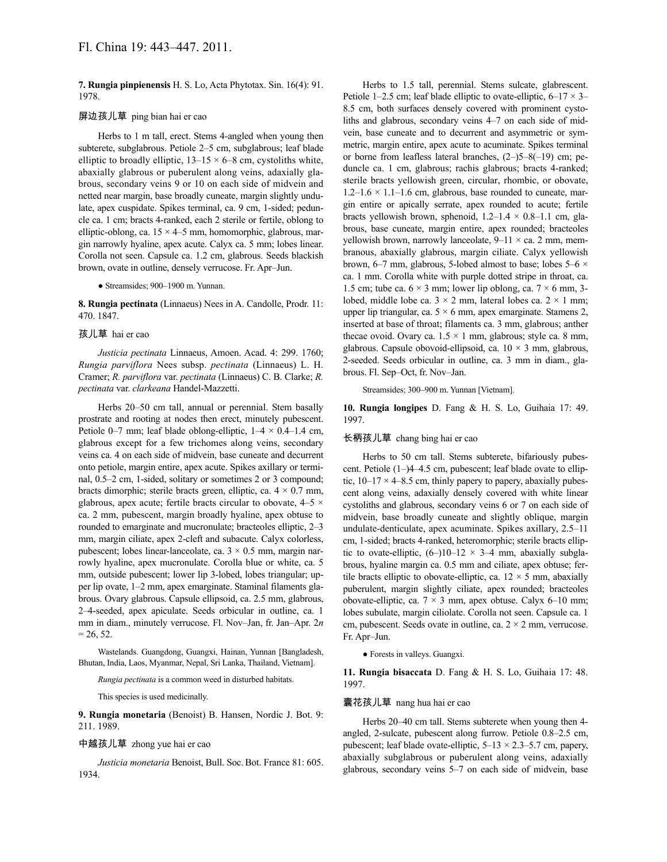**7. Rungia pinpienensis** H. S. Lo, Acta Phytotax. Sin. 16(4): 91. 1978.

#### 屏边孩儿草 ping bian hai er cao

Herbs to 1 m tall, erect. Stems 4-angled when young then subterete, subglabrous. Petiole 2–5 cm, subglabrous; leaf blade elliptic to broadly elliptic,  $13-15 \times 6-8$  cm, cystoliths white, abaxially glabrous or puberulent along veins, adaxially glabrous, secondary veins 9 or 10 on each side of midvein and netted near margin, base broadly cuneate, margin slightly undulate, apex cuspidate. Spikes terminal, ca. 9 cm, 1-sided; peduncle ca. 1 cm; bracts 4-ranked, each 2 sterile or fertile, oblong to elliptic-oblong, ca.  $15 \times 4$ –5 mm, homomorphic, glabrous, margin narrowly hyaline, apex acute. Calyx ca. 5 mm; lobes linear. Corolla not seen. Capsule ca. 1.2 cm, glabrous. Seeds blackish brown, ovate in outline, densely verrucose. Fr. Apr–Jun.

● Streamsides; 900–1900 m. Yunnan.

**8. Rungia pectinata** (Linnaeus) Nees in A. Candolle, Prodr. 11: 470. 1847.

## 孩儿草 hai er cao

*Justicia pectinata* Linnaeus, Amoen. Acad. 4: 299. 1760; *Rungia parviflora* Nees subsp. *pectinata* (Linnaeus) L. H. Cramer; *R. parviflora* var. *pectinata* (Linnaeus) C. B. Clarke; *R. pectinata* var. *clarkeana* Handel-Mazzetti.

Herbs 20–50 cm tall, annual or perennial. Stem basally prostrate and rooting at nodes then erect, minutely pubescent. Petiole 0–7 mm; leaf blade oblong-elliptic,  $1-4 \times 0.4-1.4$  cm, glabrous except for a few trichomes along veins, secondary veins ca. 4 on each side of midvein, base cuneate and decurrent onto petiole, margin entire, apex acute. Spikes axillary or terminal, 0.5–2 cm, 1-sided, solitary or sometimes 2 or 3 compound; bracts dimorphic; sterile bracts green, elliptic, ca.  $4 \times 0.7$  mm, glabrous, apex acute; fertile bracts circular to obovate,  $4-5 \times$ ca. 2 mm, pubescent, margin broadly hyaline, apex obtuse to rounded to emarginate and mucronulate; bracteoles elliptic, 2–3 mm, margin ciliate, apex 2-cleft and subacute. Calyx colorless, pubescent; lobes linear-lanceolate, ca.  $3 \times 0.5$  mm, margin narrowly hyaline, apex mucronulate. Corolla blue or white, ca. 5 mm, outside pubescent; lower lip 3-lobed, lobes triangular; upper lip ovate, 1–2 mm, apex emarginate. Staminal filaments glabrous. Ovary glabrous. Capsule ellipsoid, ca. 2.5 mm, glabrous, 2–4-seeded, apex apiculate. Seeds orbicular in outline, ca. 1 mm in diam., minutely verrucose. Fl. Nov–Jan, fr. Jan–Apr. 2*n*  $= 26, 52.$ 

Wastelands. Guangdong, Guangxi, Hainan, Yunnan [Bangladesh, Bhutan, India, Laos, Myanmar, Nepal, Sri Lanka, Thailand, Vietnam].

*Rungia pectinata* is a common weed in disturbed habitats.

This species is used medicinally.

**9. Rungia monetaria** (Benoist) B. Hansen, Nordic J. Bot. 9: 211. 1989.

## 中越孩儿草 zhong yue hai er cao

*Justicia monetaria* Benoist, Bull. Soc. Bot. France 81: 605. 1934.

Herbs to 1.5 tall, perennial. Stems sulcate, glabrescent. Petiole 1–2.5 cm; leaf blade elliptic to ovate-elliptic,  $6-17 \times 3-$ 8.5 cm, both surfaces densely covered with prominent cystoliths and glabrous, secondary veins 4–7 on each side of midvein, base cuneate and to decurrent and asymmetric or symmetric, margin entire, apex acute to acuminate. Spikes terminal or borne from leafless lateral branches, (2–)5–8(–19) cm; peduncle ca. 1 cm, glabrous; rachis glabrous; bracts 4-ranked; sterile bracts yellowish green, circular, rhombic, or obovate,  $1.2-1.6 \times 1.1-1.6$  cm, glabrous, base rounded to cuneate, margin entire or apically serrate, apex rounded to acute; fertile bracts yellowish brown, sphenoid,  $1.2-1.4 \times 0.8-1.1$  cm, glabrous, base cuneate, margin entire, apex rounded; bracteoles yellowish brown, narrowly lanceolate,  $9-11 \times ca$ . 2 mm, membranous, abaxially glabrous, margin ciliate. Calyx yellowish brown, 6–7 mm, glabrous, 5-lobed almost to base; lobes  $5-6 \times$ ca. 1 mm. Corolla white with purple dotted stripe in throat, ca. 1.5 cm; tube ca.  $6 \times 3$  mm; lower lip oblong, ca.  $7 \times 6$  mm, 3lobed, middle lobe ca.  $3 \times 2$  mm, lateral lobes ca.  $2 \times 1$  mm; upper lip triangular, ca.  $5 \times 6$  mm, apex emarginate. Stamens 2, inserted at base of throat; filaments ca. 3 mm, glabrous; anther thecae ovoid. Ovary ca.  $1.5 \times 1$  mm, glabrous; style ca. 8 mm, glabrous. Capsule obovoid-ellipsoid, ca.  $10 \times 3$  mm, glabrous, 2-seeded. Seeds orbicular in outline, ca. 3 mm in diam., glabrous. Fl. Sep–Oct, fr. Nov–Jan.

Streamsides; 300–900 m. Yunnan [Vietnam].

**10. Rungia longipes** D. Fang & H. S. Lo, Guihaia 17: 49. 1997.

#### 长柄孩儿草 chang bing hai er cao

Herbs to 50 cm tall. Stems subterete, bifariously pubescent. Petiole (1–)4–4.5 cm, pubescent; leaf blade ovate to elliptic,  $10-17 \times 4-8.5$  cm, thinly papery to papery, abaxially pubescent along veins, adaxially densely covered with white linear cystoliths and glabrous, secondary veins 6 or 7 on each side of midvein, base broadly cuneate and slightly oblique, margin undulate-denticulate, apex acuminate. Spikes axillary, 2.5–11 cm, 1-sided; bracts 4-ranked, heteromorphic; sterile bracts elliptic to ovate-elliptic,  $(6-)10-12 \times 3-4$  mm, abaxially subglabrous, hyaline margin ca. 0.5 mm and ciliate, apex obtuse; fertile bracts elliptic to obovate-elliptic, ca.  $12 \times 5$  mm, abaxially puberulent, margin slightly ciliate, apex rounded; bracteoles obovate-elliptic, ca.  $7 \times 3$  mm, apex obtuse. Caly x 6–10 mm; lobes subulate, margin ciliolate. Corolla not seen. Capsule ca. 1 cm, pubescent. Seeds ovate in outline, ca.  $2 \times 2$  mm, verrucose. Fr. Apr–Jun.

● Forests in valleys. Guangxi.

**11. Rungia bisaccata** D. Fang & H. S. Lo, Guihaia 17: 48. 1997.

### 囊花孩儿草 nang hua hai er cao

Herbs 20–40 cm tall. Stems subterete when young then 4 angled, 2-sulcate, pubescent along furrow. Petiole 0.8–2.5 cm, pubescent; leaf blade ovate-elliptic,  $5-13 \times 2.3-5.7$  cm, papery, abaxially subglabrous or puberulent along veins, adaxially glabrous, secondary veins 5–7 on each side of midvein, base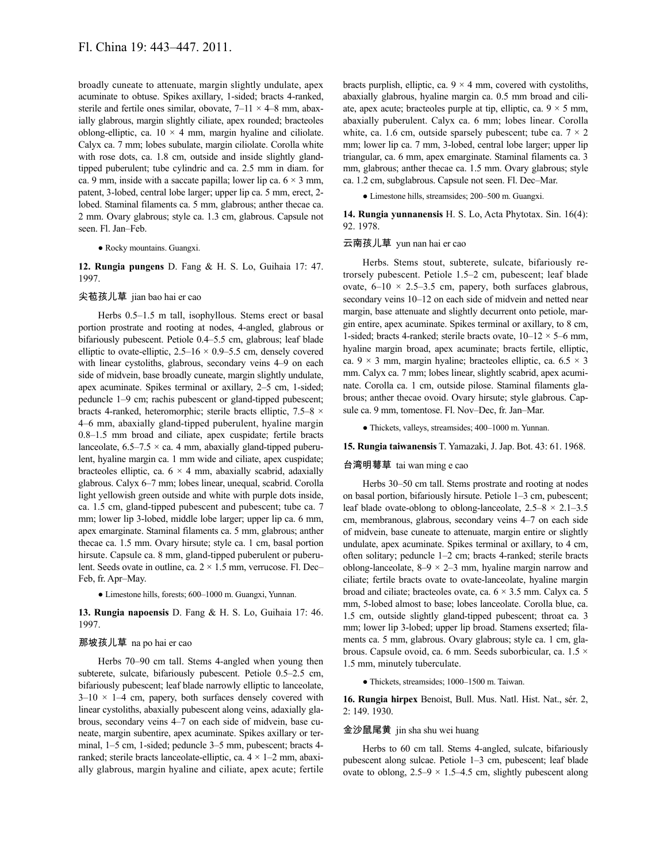broadly cuneate to attenuate, margin slightly undulate, apex acuminate to obtuse. Spikes axillary, 1-sided; bracts 4-ranked, sterile and fertile ones similar, obovate,  $7-11 \times 4-8$  mm, abaxially glabrous, margin slightly ciliate, apex rounded; bracteoles oblong-elliptic, ca.  $10 \times 4$  mm, margin hyaline and ciliolate. Calyx ca. 7 mm; lobes subulate, margin ciliolate. Corolla white with rose dots, ca. 1.8 cm, outside and inside slightly glandtipped puberulent; tube cylindric and ca. 2.5 mm in diam. for ca. 9 mm, inside with a saccate papilla; lower lip ca.  $6 \times 3$  mm, patent, 3-lobed, central lobe larger; upper lip ca. 5 mm, erect, 2 lobed. Staminal filaments ca. 5 mm, glabrous; anther thecae ca. 2 mm. Ovary glabrous; style ca. 1.3 cm, glabrous. Capsule not seen. Fl. Jan–Feb.

### ● Rocky mountains. Guangxi.

**12. Rungia pungens** D. Fang & H. S. Lo, Guihaia 17: 47. 1997.

## 尖苞孩儿草 jian bao hai er cao

Herbs 0.5–1.5 m tall, isophyllous. Stems erect or basal portion prostrate and rooting at nodes, 4-angled, glabrous or bifariously pubescent. Petiole 0.4–5.5 cm, glabrous; leaf blade elliptic to ovate-elliptic,  $2.5-16 \times 0.9-5.5$  cm, densely covered with linear cystoliths, glabrous, secondary veins 4–9 on each side of midvein, base broadly cuneate, margin slightly undulate, apex acuminate. Spikes terminal or axillary, 2–5 cm, 1-sided; peduncle 1–9 cm; rachis pubescent or gland-tipped pubescent; bracts 4-ranked, heteromorphic; sterile bracts elliptic, 7.5–8 × 4–6 mm, abaxially gland-tipped puberulent, hyaline margin 0.8–1.5 mm broad and ciliate, apex cuspidate; fertile bracts lanceolate,  $6.5-7.5 \times$  ca. 4 mm, abaxially gland-tipped puberulent, hyaline margin ca. 1 mm wide and ciliate, apex cuspidate; bracteoles elliptic, ca.  $6 \times 4$  mm, abaxially scabrid, adaxially glabrous. Calyx 6–7 mm; lobes linear, unequal, scabrid. Corolla light yellowish green outside and white with purple dots inside, ca. 1.5 cm, gland-tipped pubescent and pubescent; tube ca. 7 mm; lower lip 3-lobed, middle lobe larger; upper lip ca. 6 mm, apex emarginate. Staminal filaments ca. 5 mm, glabrous; anther thecae ca. 1.5 mm. Ovary hirsute; style ca. 1 cm, basal portion hirsute. Capsule ca. 8 mm, gland-tipped puberulent or puberulent. Seeds ovate in outline, ca.  $2 \times 1.5$  mm, verrucose. Fl. Dec– Feb, fr. Apr–May.

● Limestone hills, forests; 600–1000 m. Guangxi, Yunnan.

**13. Rungia napoensis** D. Fang & H. S. Lo, Guihaia 17: 46. 1997.

### 那坡孩儿草 na po hai er cao

Herbs 70–90 cm tall. Stems 4-angled when young then subterete, sulcate, bifariously pubescent. Petiole 0.5–2.5 cm, bifariously pubescent; leaf blade narrowly elliptic to lanceolate,  $3-10 \times 1-4$  cm, papery, both surfaces densely covered with linear cystoliths, abaxially pubescent along veins, adaxially glabrous, secondary veins 4–7 on each side of midvein, base cuneate, margin subentire, apex acuminate. Spikes axillary or terminal, 1–5 cm, 1-sided; peduncle 3–5 mm, pubescent; bracts 4 ranked; sterile bracts lanceolate-elliptic, ca.  $4 \times 1 - 2$  mm, abaxially glabrous, margin hyaline and ciliate, apex acute; fertile bracts purplish, elliptic, ca.  $9 \times 4$  mm, covered with cystoliths, abaxially glabrous, hyaline margin ca. 0.5 mm broad and ciliate, apex acute; bracteoles purple at tip, elliptic, ca.  $9 \times 5$  mm, abaxially puberulent. Calyx ca. 6 mm; lobes linear. Corolla white, ca. 1.6 cm, outside sparsely pubescent; tube ca.  $7 \times 2$ mm; lower lip ca. 7 mm, 3-lobed, central lobe larger; upper lip triangular, ca. 6 mm, apex emarginate. Staminal filaments ca. 3 mm, glabrous; anther thecae ca. 1.5 mm. Ovary glabrous; style ca. 1.2 cm, subglabrous. Capsule not seen. Fl. Dec–Mar.

● Limestone hills, streamsides; 200–500 m. Guangxi.

**14. Rungia yunnanensis** H. S. Lo, Acta Phytotax. Sin. 16(4): 92. 1978.

## 云南孩儿草 yun nan hai er cao

Herbs. Stems stout, subterete, sulcate, bifariously retrorsely pubescent. Petiole 1.5–2 cm, pubescent; leaf blade ovate,  $6-10 \times 2.5-3.5$  cm, papery, both surfaces glabrous, secondary veins 10–12 on each side of midvein and netted near margin, base attenuate and slightly decurrent onto petiole, margin entire, apex acuminate. Spikes terminal or axillary, to 8 cm, 1-sided; bracts 4-ranked; sterile bracts ovate,  $10-12 \times 5-6$  mm, hyaline margin broad, apex acuminate; bracts fertile, elliptic, ca.  $9 \times 3$  mm, margin hyaline; bracteoles elliptic, ca.  $6.5 \times 3$ mm. Calyx ca. 7 mm; lobes linear, slightly scabrid, apex acuminate. Corolla ca. 1 cm, outside pilose. Staminal filaments glabrous; anther thecae ovoid. Ovary hirsute; style glabrous. Capsule ca. 9 mm, tomentose. Fl. Nov–Dec, fr. Jan–Mar.

● Thickets, valleys, streamsides; 400–1000 m. Yunnan.

#### **15. Rungia taiwanensis** T. Yamazaki, J. Jap. Bot. 43: 61. 1968.

#### 台湾明萼草 tai wan ming e cao

Herbs 30–50 cm tall. Stems prostrate and rooting at nodes on basal portion, bifariously hirsute. Petiole 1–3 cm, pubescent; leaf blade ovate-oblong to oblong-lanceolate,  $2.5-8 \times 2.1-3.5$ cm, membranous, glabrous, secondary veins 4–7 on each side of midvein, base cuneate to attenuate, margin entire or slightly undulate, apex acuminate. Spikes terminal or axillary, to 4 cm, often solitary; peduncle 1–2 cm; bracts 4-ranked; sterile bracts oblong-lanceolate,  $8-9 \times 2-3$  mm, hyaline margin narrow and ciliate; fertile bracts ovate to ovate-lanceolate, hyaline margin broad and ciliate; bracteoles ovate, ca.  $6 \times 3.5$  mm. Calyx ca. 5 mm, 5-lobed almost to base; lobes lanceolate. Corolla blue, ca. 1.5 cm, outside slightly gland-tipped pubescent; throat ca. 3 mm; lower lip 3-lobed; upper lip broad. Stamens exserted; filaments ca. 5 mm, glabrous. Ovary glabrous; style ca. 1 cm, glabrous. Capsule ovoid, ca. 6 mm. Seeds suborbicular, ca. 1.5 × 1.5 mm, minutely tuberculate.

● Thickets, streamsides; 1000–1500 m. Taiwan.

**16. Rungia hirpex** Benoist, Bull. Mus. Natl. Hist. Nat., sér. 2, 2: 149. 1930.

### 金沙鼠尾黄 jin sha shu wei huang

Herbs to 60 cm tall. Stems 4-angled, sulcate, bifariously pubescent along sulcae. Petiole 1–3 cm, pubescent; leaf blade ovate to oblong,  $2.5-9 \times 1.5-4.5$  cm, slightly pubescent along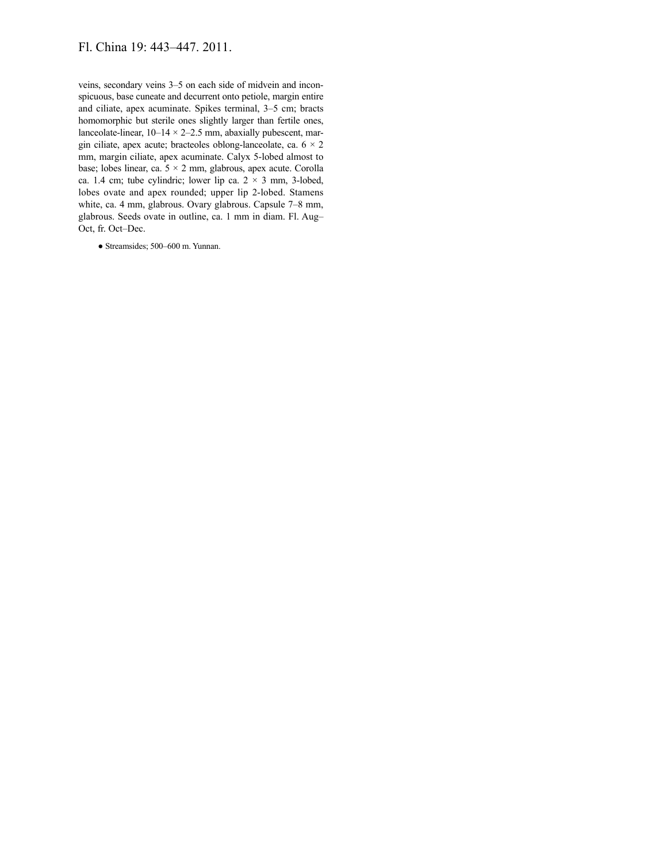# Fl. China 19: 443–447. 2011.

veins, secondary veins 3–5 on each side of midvein and inconspicuous, base cuneate and decurrent onto petiole, margin entire and ciliate, apex acuminate. Spikes terminal, 3–5 cm; bracts homomorphic but sterile ones slightly larger than fertile ones, lanceolate-linear,  $10-14 \times 2-2.5$  mm, abaxially pubescent, margin ciliate, apex acute; bracteoles oblong-lanceolate, ca.  $6 \times 2$ mm, margin ciliate, apex acuminate. Calyx 5-lobed almost to base; lobes linear, ca.  $5 \times 2$  mm, glabrous, apex acute. Corolla ca. 1.4 cm; tube cylindric; lower lip ca.  $2 \times 3$  mm, 3-lobed, lobes ovate and apex rounded; upper lip 2-lobed. Stamens white, ca. 4 mm, glabrous. Ovary glabrous. Capsule 7–8 mm, glabrous. Seeds ovate in outline, ca. 1 mm in diam. Fl. Aug– Oct, fr. Oct–Dec.

● Streamsides; 500–600 m. Yunnan.